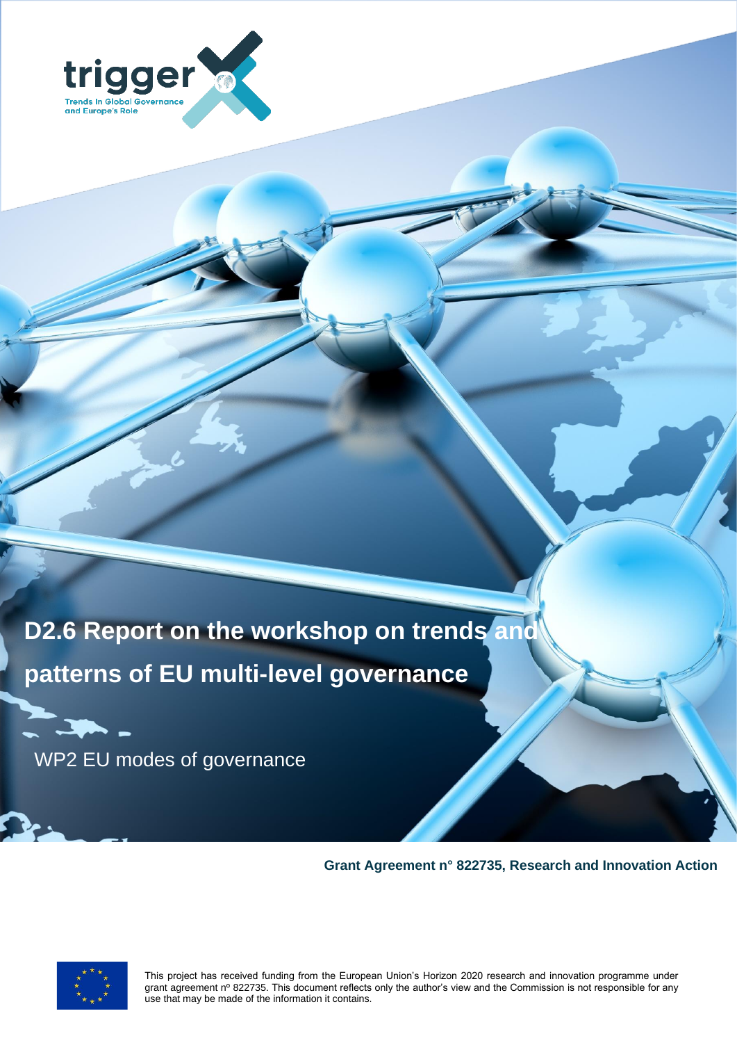

**D2.6 Report on the workshop on trends and patterns of EU multi-level governance**

WP2 EU modes of governance

**Grant Agreement n° 822735, Research and Innovation Action**



This project has received funding from the European Union's Horizon 2020 research and innovation programme under grant agreement nº 822735. This document reflects only the author's view and the Commission is not responsible for any use that may be made of the information it contains.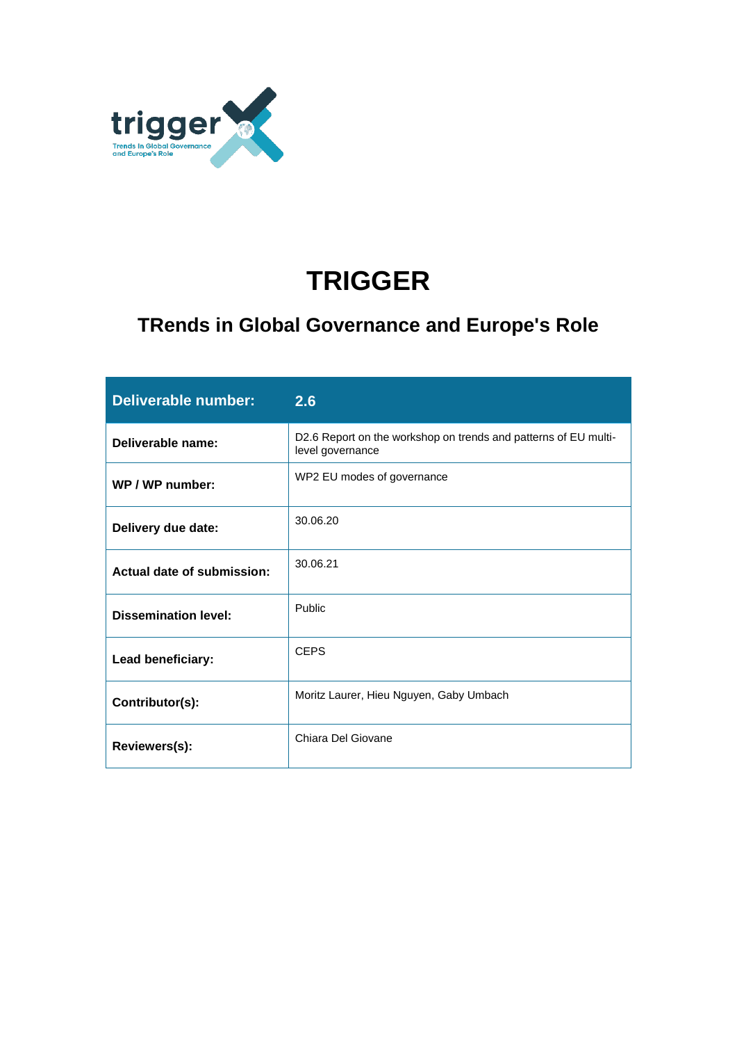

# **TRIGGER**

## **TRends in Global Governance and Europe's Role**

| <b>Deliverable number:</b>  | 2.6                                                                                 |
|-----------------------------|-------------------------------------------------------------------------------------|
| Deliverable name:           | D2.6 Report on the workshop on trends and patterns of EU multi-<br>level governance |
| WP / WP number:             | WP2 EU modes of governance                                                          |
| Delivery due date:          | 30.06.20                                                                            |
| Actual date of submission:  | 30.06.21                                                                            |
| <b>Dissemination level:</b> | Public                                                                              |
| Lead beneficiary:           | <b>CEPS</b>                                                                         |
| Contributor(s):             | Moritz Laurer, Hieu Nguyen, Gaby Umbach                                             |
| Reviewers(s):               | Chiara Del Giovane                                                                  |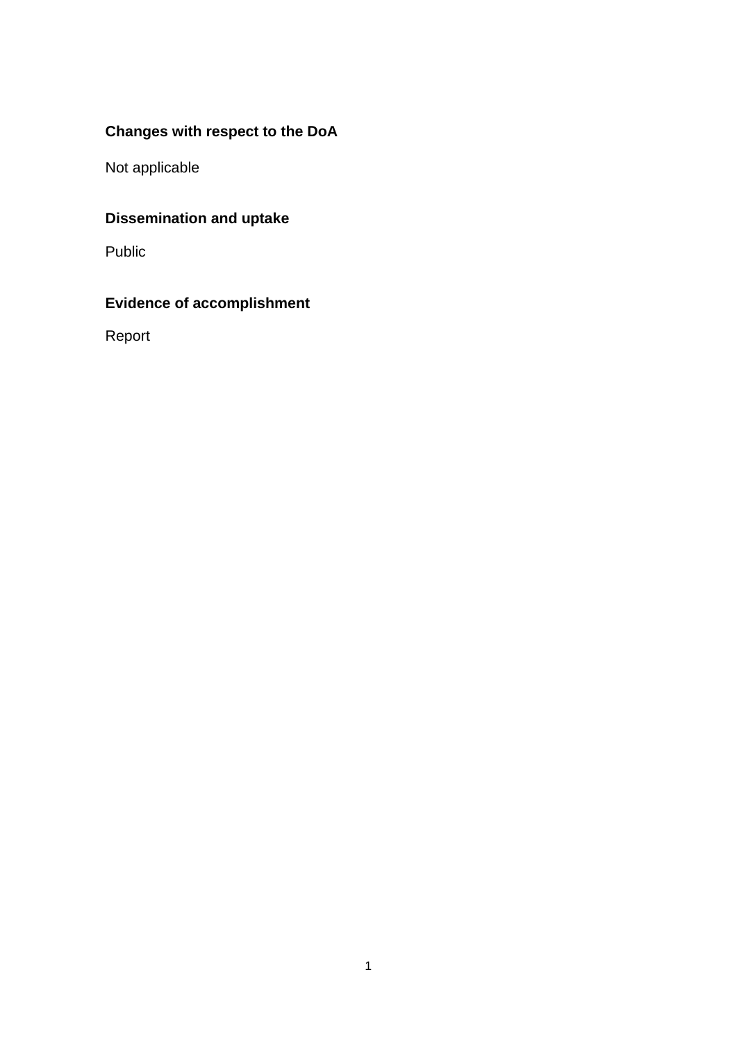### **Changes with respect to the DoA**

Not applicable

## **Dissemination and uptake**

Public

### **Evidence of accomplishment**

Report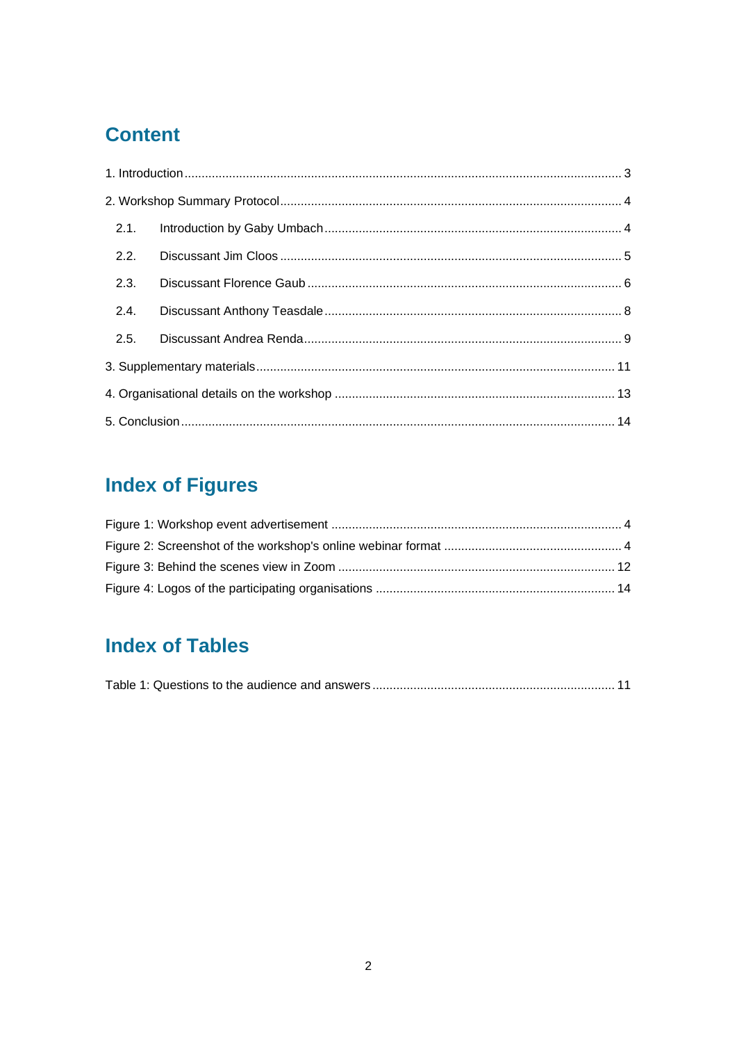## **Content**

| 2.2. |  |
|------|--|
| 2.3. |  |
| 2.4. |  |
| 2.5. |  |
|      |  |
|      |  |
|      |  |

# **Index of Figures**

## **Index of Tables**

|--|--|--|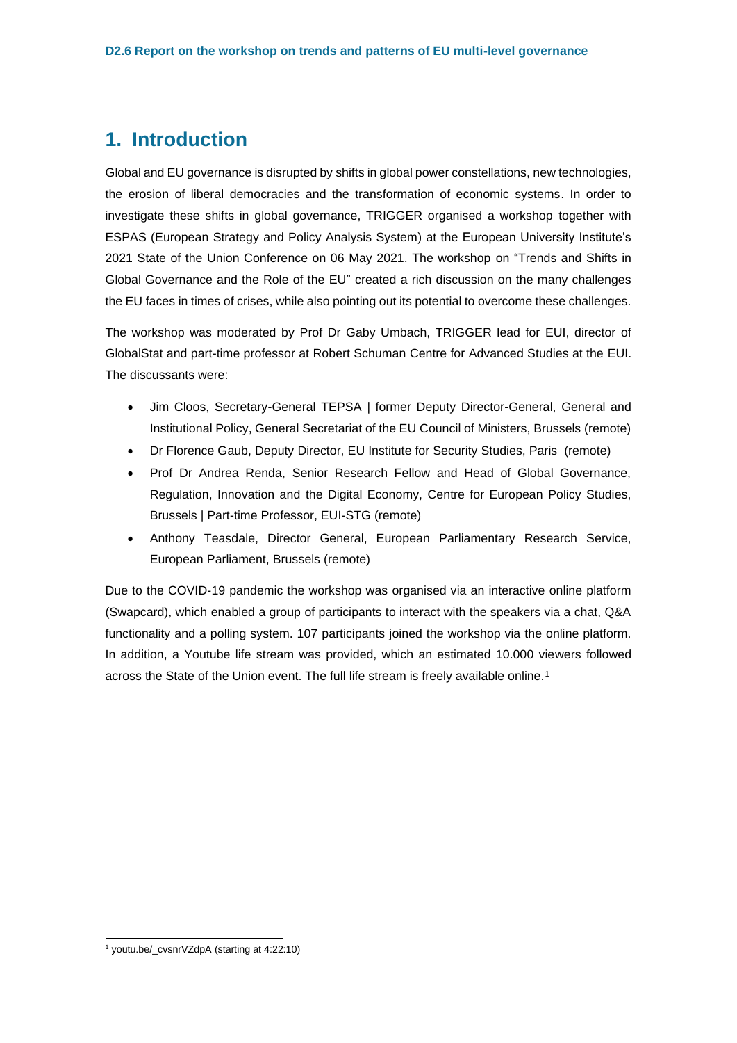### <span id="page-4-0"></span>**1. Introduction**

Global and EU governance is disrupted by shifts in global power constellations, new technologies, the erosion of liberal democracies and the transformation of economic systems. In order to investigate these shifts in global governance, TRIGGER organised a workshop together with ESPAS (European Strategy and Policy Analysis System) at the European University Institute's 2021 State of the Union Conference on 06 May 2021. The workshop on "Trends and Shifts in Global Governance and the Role of the EU" created a rich discussion on the many challenges the EU faces in times of crises, while also pointing out its potential to overcome these challenges.

The workshop was moderated by Prof Dr Gaby Umbach, TRIGGER lead for EUI, director of GlobalStat and part-time professor at Robert Schuman Centre for Advanced Studies at the EUI. The discussants were:

- Jim Cloos, Secretary-General TEPSA | former Deputy Director-General, General and Institutional Policy, General Secretariat of the EU Council of Ministers, Brussels (remote)
- Dr Florence Gaub, Deputy Director, EU Institute for Security Studies, Paris (remote)
- Prof Dr Andrea Renda, Senior Research Fellow and Head of Global Governance, Regulation, Innovation and the Digital Economy, Centre for European Policy Studies, Brussels | Part-time Professor, EUI-STG (remote)
- Anthony Teasdale, Director General, European Parliamentary Research Service, European Parliament, Brussels (remote)

Due to the COVID-19 pandemic the workshop was organised via an interactive online platform (Swapcard), which enabled a group of participants to interact with the speakers via a chat, Q&A functionality and a polling system. 107 participants joined the workshop via the online platform. In addition, a Youtube life stream was provided, which an estimated 10.000 viewers followed across the State of the Union event. The full life stream is freely available online.<sup>1</sup>

<sup>&</sup>lt;sup>1</sup> youtu.be/ cvsnrVZdpA (starting at 4:22:10)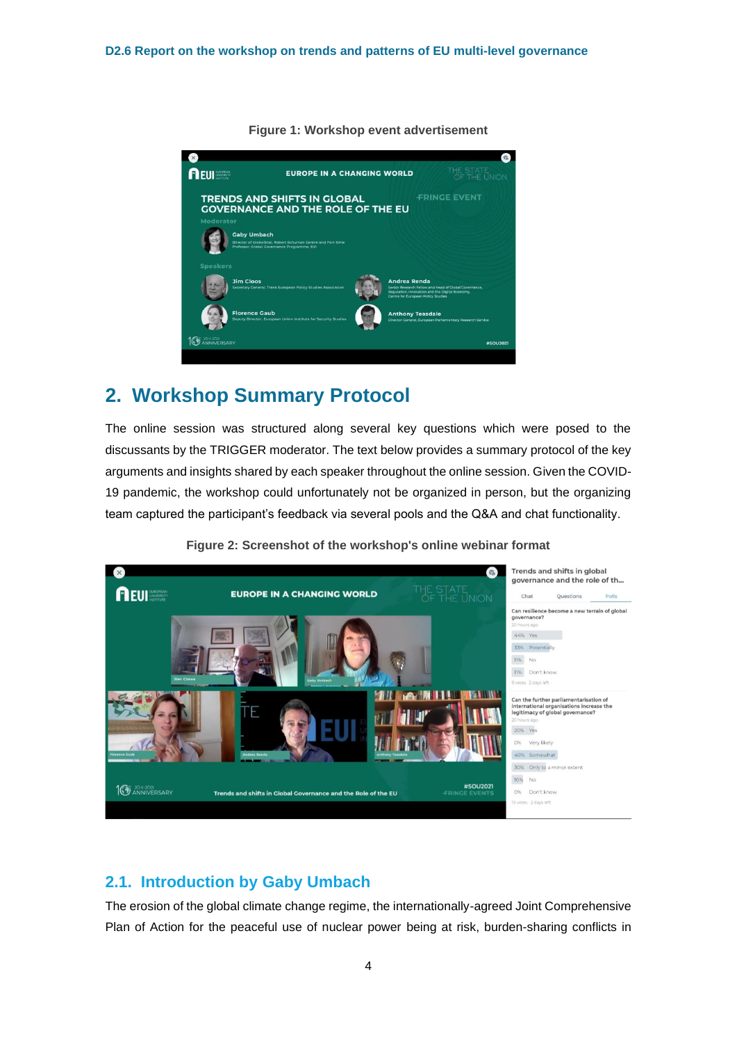<span id="page-5-2"></span>

#### **Figure 1: Workshop event advertisement**

## <span id="page-5-0"></span>**2. Workshop Summary Protocol**

The online session was structured along several key questions which were posed to the discussants by the TRIGGER moderator. The text below provides a summary protocol of the key arguments and insights shared by each speaker throughout the online session. Given the COVID-19 pandemic, the workshop could unfortunately not be organized in person, but the organizing team captured the participant's feedback via several pools and the Q&A and chat functionality.

<span id="page-5-3"></span>

**Figure 2: Screenshot of the workshop's online webinar format**

#### <span id="page-5-1"></span>**2.1. Introduction by Gaby Umbach**

The erosion of the global climate change regime, the internationally-agreed Joint Comprehensive Plan of Action for the peaceful use of nuclear power being at risk, burden-sharing conflicts in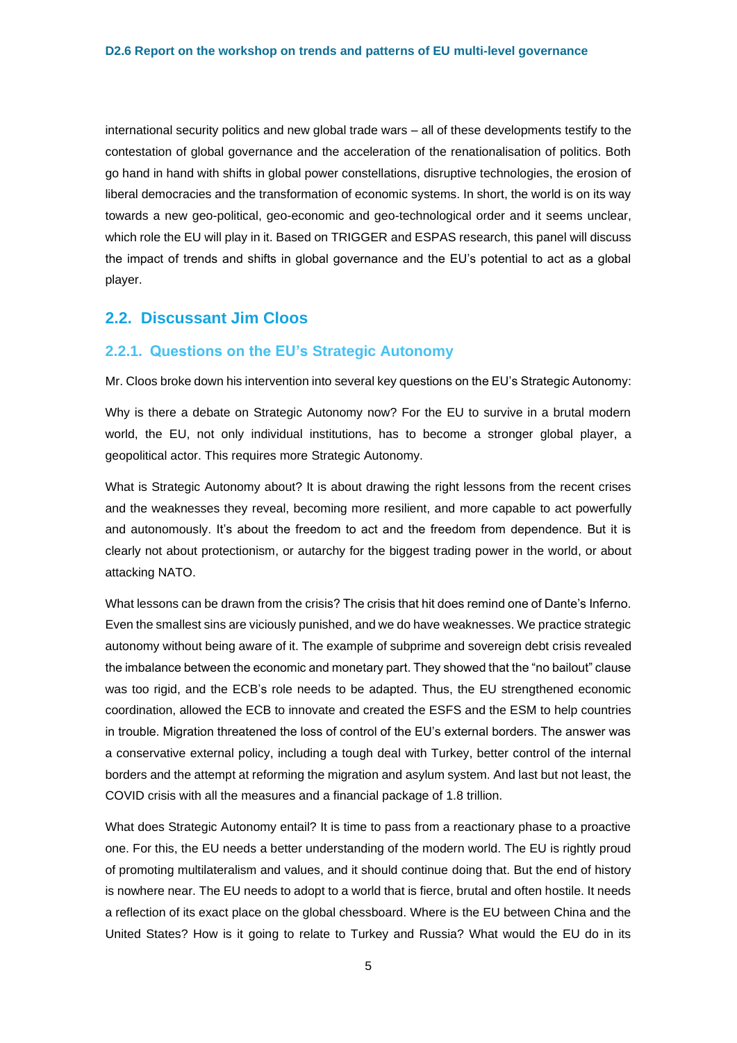international security politics and new global trade wars – all of these developments testify to the contestation of global governance and the acceleration of the renationalisation of politics. Both go hand in hand with shifts in global power constellations, disruptive technologies, the erosion of liberal democracies and the transformation of economic systems. In short, the world is on its way towards a new geo-political, geo-economic and geo-technological order and it seems unclear, which role the EU will play in it. Based on TRIGGER and ESPAS research, this panel will discuss the impact of trends and shifts in global governance and the EU's potential to act as a global player.

#### <span id="page-6-0"></span>**2.2. Discussant Jim Cloos**

#### **2.2.1. Questions on the EU's Strategic Autonomy**

Mr. Cloos broke down his intervention into several key questions on the EU's Strategic Autonomy:

Why is there a debate on Strategic Autonomy now? For the EU to survive in a brutal modern world, the EU, not only individual institutions, has to become a stronger global player, a geopolitical actor. This requires more Strategic Autonomy.

What is Strategic Autonomy about? It is about drawing the right lessons from the recent crises and the weaknesses they reveal, becoming more resilient, and more capable to act powerfully and autonomously. It's about the freedom to act and the freedom from dependence. But it is clearly not about protectionism, or autarchy for the biggest trading power in the world, or about attacking NATO.

What lessons can be drawn from the crisis? The crisis that hit does remind one of Dante's Inferno. Even the smallest sins are viciously punished, and we do have weaknesses. We practice strategic autonomy without being aware of it. The example of subprime and sovereign debt crisis revealed the imbalance between the economic and monetary part. They showed that the "no bailout" clause was too rigid, and the ECB's role needs to be adapted. Thus, the EU strengthened economic coordination, allowed the ECB to innovate and created the ESFS and the ESM to help countries in trouble. Migration threatened the loss of control of the EU's external borders. The answer was a conservative external policy, including a tough deal with Turkey, better control of the internal borders and the attempt at reforming the migration and asylum system. And last but not least, the COVID crisis with all the measures and a financial package of 1.8 trillion.

What does Strategic Autonomy entail? It is time to pass from a reactionary phase to a proactive one. For this, the EU needs a better understanding of the modern world. The EU is rightly proud of promoting multilateralism and values, and it should continue doing that. But the end of history is nowhere near. The EU needs to adopt to a world that is fierce, brutal and often hostile. It needs a reflection of its exact place on the global chessboard. Where is the EU between China and the United States? How is it going to relate to Turkey and Russia? What would the EU do in its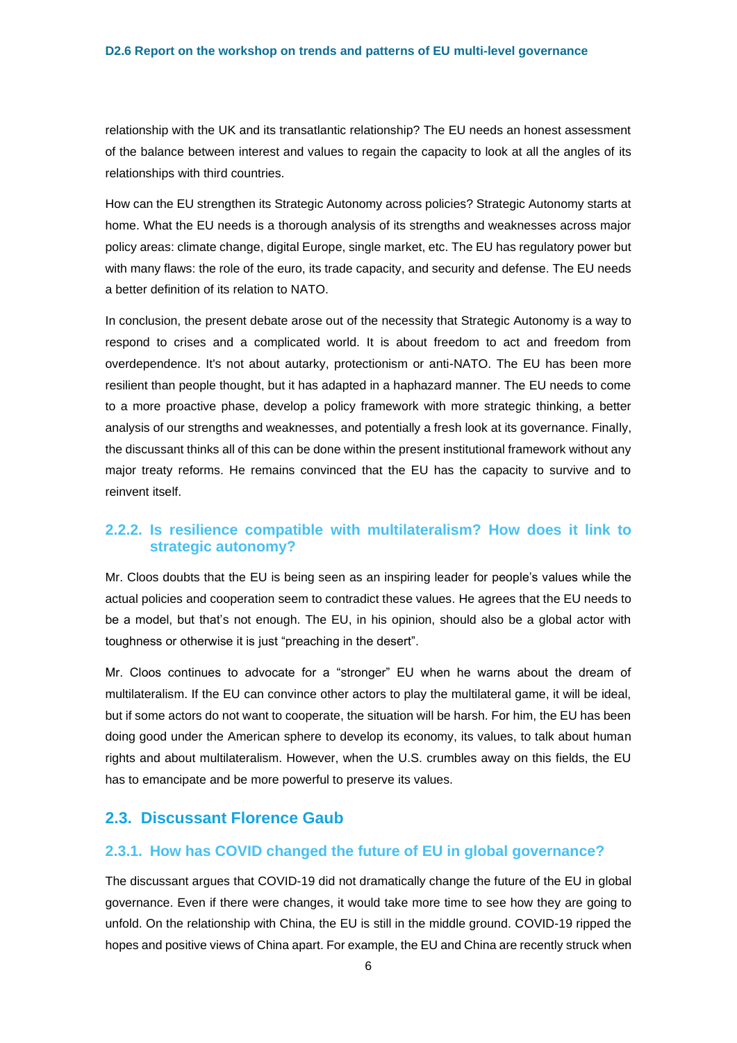relationship with the UK and its transatlantic relationship? The EU needs an honest assessment of the balance between interest and values to regain the capacity to look at all the angles of its relationships with third countries.

How can the EU strengthen its Strategic Autonomy across policies? Strategic Autonomy starts at home. What the EU needs is a thorough analysis of its strengths and weaknesses across major policy areas: climate change, digital Europe, single market, etc. The EU has regulatory power but with many flaws: the role of the euro, its trade capacity, and security and defense. The EU needs a better definition of its relation to NATO.

In conclusion, the present debate arose out of the necessity that Strategic Autonomy is a way to respond to crises and a complicated world. It is about freedom to act and freedom from overdependence. It's not about autarky, protectionism or anti-NATO. The EU has been more resilient than people thought, but it has adapted in a haphazard manner. The EU needs to come to a more proactive phase, develop a policy framework with more strategic thinking, a better analysis of our strengths and weaknesses, and potentially a fresh look at its governance. Finally, the discussant thinks all of this can be done within the present institutional framework without any major treaty reforms. He remains convinced that the EU has the capacity to survive and to reinvent itself.

#### **2.2.2. Is resilience compatible with multilateralism? How does it link to strategic autonomy?**

Mr. Cloos doubts that the EU is being seen as an inspiring leader for people's values while the actual policies and cooperation seem to contradict these values. He agrees that the EU needs to be a model, but that's not enough. The EU, in his opinion, should also be a global actor with toughness or otherwise it is just "preaching in the desert".

Mr. Cloos continues to advocate for a "stronger" EU when he warns about the dream of multilateralism. If the EU can convince other actors to play the multilateral game, it will be ideal, but if some actors do not want to cooperate, the situation will be harsh. For him, the EU has been doing good under the American sphere to develop its economy, its values, to talk about human rights and about multilateralism. However, when the U.S. crumbles away on this fields, the EU has to emancipate and be more powerful to preserve its values.

#### <span id="page-7-0"></span>**2.3. Discussant Florence Gaub**

#### **2.3.1. How has COVID changed the future of EU in global governance?**

The discussant argues that COVID-19 did not dramatically change the future of the EU in global governance. Even if there were changes, it would take more time to see how they are going to unfold. On the relationship with China, the EU is still in the middle ground. COVID-19 ripped the hopes and positive views of China apart. For example, the EU and China are recently struck when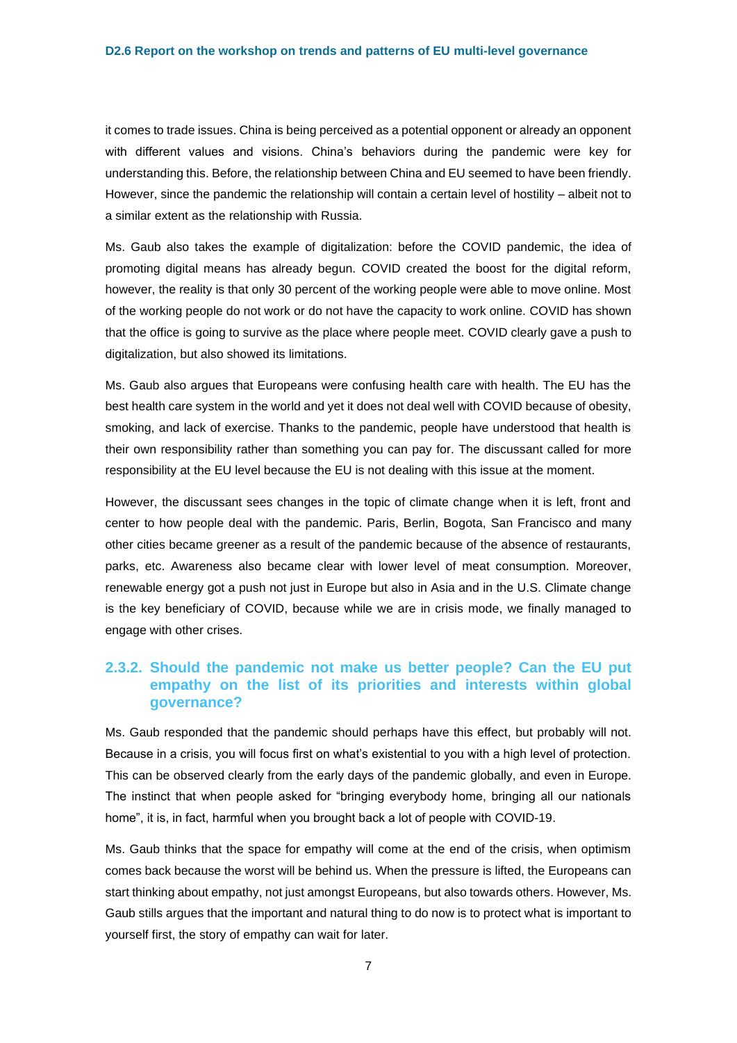it comes to trade issues. China is being perceived as a potential opponent or already an opponent with different values and visions. China's behaviors during the pandemic were key for understanding this. Before, the relationship between China and EU seemed to have been friendly. However, since the pandemic the relationship will contain a certain level of hostility – albeit not to a similar extent as the relationship with Russia.

Ms. Gaub also takes the example of digitalization: before the COVID pandemic, the idea of promoting digital means has already begun. COVID created the boost for the digital reform, however, the reality is that only 30 percent of the working people were able to move online. Most of the working people do not work or do not have the capacity to work online. COVID has shown that the office is going to survive as the place where people meet. COVID clearly gave a push to digitalization, but also showed its limitations.

Ms. Gaub also argues that Europeans were confusing health care with health. The EU has the best health care system in the world and yet it does not deal well with COVID because of obesity, smoking, and lack of exercise. Thanks to the pandemic, people have understood that health is their own responsibility rather than something you can pay for. The discussant called for more responsibility at the EU level because the EU is not dealing with this issue at the moment.

However, the discussant sees changes in the topic of climate change when it is left, front and center to how people deal with the pandemic. Paris, Berlin, Bogota, San Francisco and many other cities became greener as a result of the pandemic because of the absence of restaurants, parks, etc. Awareness also became clear with lower level of meat consumption. Moreover, renewable energy got a push not just in Europe but also in Asia and in the U.S. Climate change is the key beneficiary of COVID, because while we are in crisis mode, we finally managed to engage with other crises.

#### **2.3.2. Should the pandemic not make us better people? Can the EU put empathy on the list of its priorities and interests within global governance?**

Ms. Gaub responded that the pandemic should perhaps have this effect, but probably will not. Because in a crisis, you will focus first on what's existential to you with a high level of protection. This can be observed clearly from the early days of the pandemic globally, and even in Europe. The instinct that when people asked for "bringing everybody home, bringing all our nationals home", it is, in fact, harmful when you brought back a lot of people with COVID-19.

Ms. Gaub thinks that the space for empathy will come at the end of the crisis, when optimism comes back because the worst will be behind us. When the pressure is lifted, the Europeans can start thinking about empathy, not just amongst Europeans, but also towards others. However, Ms. Gaub stills argues that the important and natural thing to do now is to protect what is important to yourself first, the story of empathy can wait for later.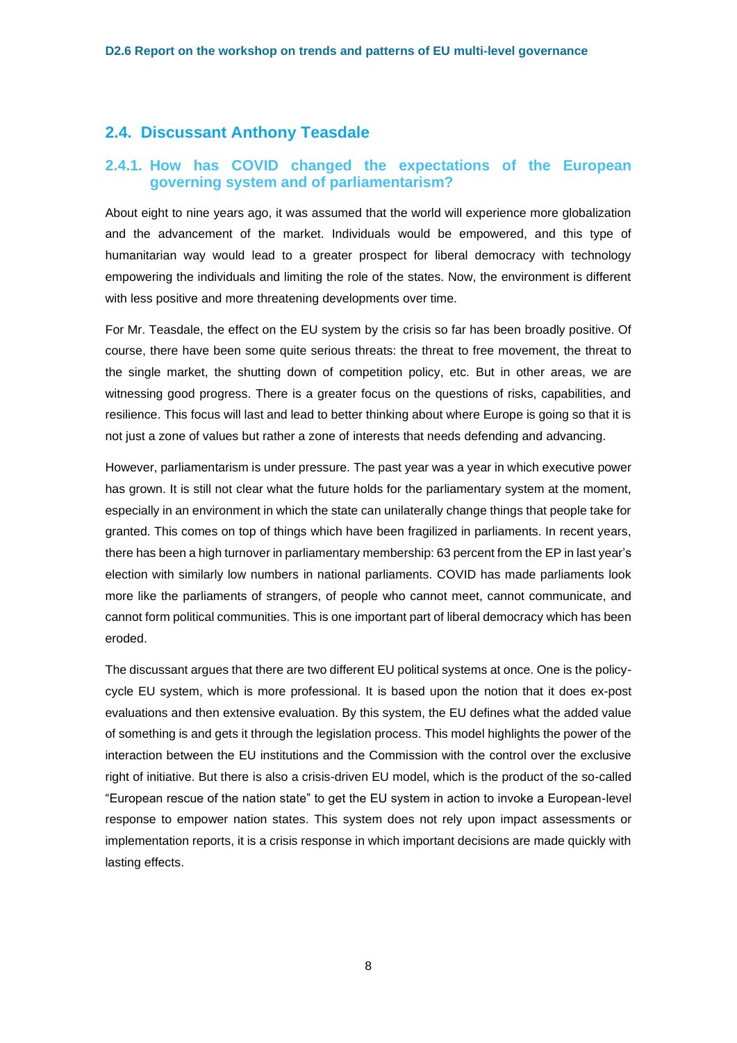#### <span id="page-9-0"></span>**2.4. Discussant Anthony Teasdale**

#### **2.4.1. How has COVID changed the expectations of the European governing system and of parliamentarism?**

About eight to nine years ago, it was assumed that the world will experience more globalization and the advancement of the market. Individuals would be empowered, and this type of humanitarian way would lead to a greater prospect for liberal democracy with technology empowering the individuals and limiting the role of the states. Now, the environment is different with less positive and more threatening developments over time.

For Mr. Teasdale, the effect on the EU system by the crisis so far has been broadly positive. Of course, there have been some quite serious threats: the threat to free movement, the threat to the single market, the shutting down of competition policy, etc. But in other areas, we are witnessing good progress. There is a greater focus on the questions of risks, capabilities, and resilience. This focus will last and lead to better thinking about where Europe is going so that it is not just a zone of values but rather a zone of interests that needs defending and advancing.

However, parliamentarism is under pressure. The past year was a year in which executive power has grown. It is still not clear what the future holds for the parliamentary system at the moment, especially in an environment in which the state can unilaterally change things that people take for granted. This comes on top of things which have been fragilized in parliaments. In recent years, there has been a high turnover in parliamentary membership: 63 percent from the EP in last year's election with similarly low numbers in national parliaments. COVID has made parliaments look more like the parliaments of strangers, of people who cannot meet, cannot communicate, and cannot form political communities. This is one important part of liberal democracy which has been eroded.

The discussant argues that there are two different EU political systems at once. One is the policycycle EU system, which is more professional. It is based upon the notion that it does ex-post evaluations and then extensive evaluation. By this system, the EU defines what the added value of something is and gets it through the legislation process. This model highlights the power of the interaction between the EU institutions and the Commission with the control over the exclusive right of initiative. But there is also a crisis-driven EU model, which is the product of the so-called "European rescue of the nation state" to get the EU system in action to invoke a European-level response to empower nation states. This system does not rely upon impact assessments or implementation reports, it is a crisis response in which important decisions are made quickly with lasting effects.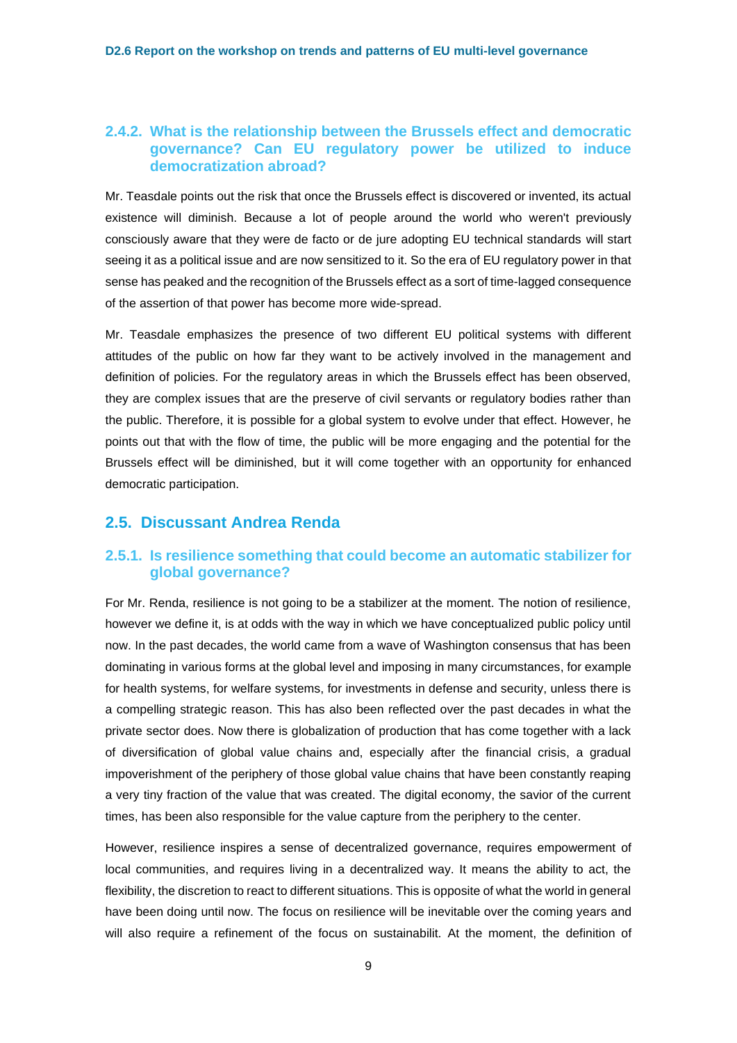#### **2.4.2. What is the relationship between the Brussels effect and democratic governance? Can EU regulatory power be utilized to induce democratization abroad?**

Mr. Teasdale points out the risk that once the Brussels effect is discovered or invented, its actual existence will diminish. Because a lot of people around the world who weren't previously consciously aware that they were de facto or de jure adopting EU technical standards will start seeing it as a political issue and are now sensitized to it. So the era of EU regulatory power in that sense has peaked and the recognition of the Brussels effect as a sort of time-lagged consequence of the assertion of that power has become more wide-spread.

Mr. Teasdale emphasizes the presence of two different EU political systems with different attitudes of the public on how far they want to be actively involved in the management and definition of policies. For the regulatory areas in which the Brussels effect has been observed, they are complex issues that are the preserve of civil servants or regulatory bodies rather than the public. Therefore, it is possible for a global system to evolve under that effect. However, he points out that with the flow of time, the public will be more engaging and the potential for the Brussels effect will be diminished, but it will come together with an opportunity for enhanced democratic participation.

#### <span id="page-10-0"></span>**2.5. Discussant Andrea Renda**

#### **2.5.1. Is resilience something that could become an automatic stabilizer for global governance?**

For Mr. Renda, resilience is not going to be a stabilizer at the moment. The notion of resilience, however we define it, is at odds with the way in which we have conceptualized public policy until now. In the past decades, the world came from a wave of Washington consensus that has been dominating in various forms at the global level and imposing in many circumstances, for example for health systems, for welfare systems, for investments in defense and security, unless there is a compelling strategic reason. This has also been reflected over the past decades in what the private sector does. Now there is globalization of production that has come together with a lack of diversification of global value chains and, especially after the financial crisis, a gradual impoverishment of the periphery of those global value chains that have been constantly reaping a very tiny fraction of the value that was created. The digital economy, the savior of the current times, has been also responsible for the value capture from the periphery to the center.

However, resilience inspires a sense of decentralized governance, requires empowerment of local communities, and requires living in a decentralized way. It means the ability to act, the flexibility, the discretion to react to different situations. This is opposite of what the world in general have been doing until now. The focus on resilience will be inevitable over the coming years and will also require a refinement of the focus on sustainabilit. At the moment, the definition of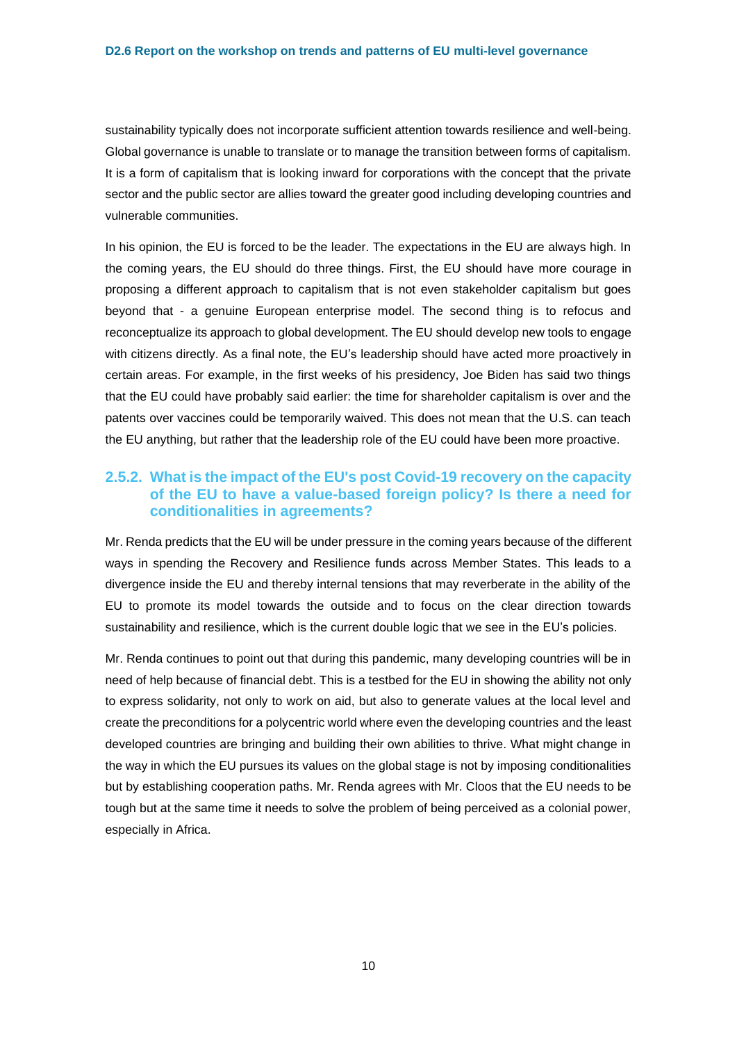sustainability typically does not incorporate sufficient attention towards resilience and well-being. Global governance is unable to translate or to manage the transition between forms of capitalism. It is a form of capitalism that is looking inward for corporations with the concept that the private sector and the public sector are allies toward the greater good including developing countries and vulnerable communities.

In his opinion, the EU is forced to be the leader. The expectations in the EU are always high. In the coming years, the EU should do three things. First, the EU should have more courage in proposing a different approach to capitalism that is not even stakeholder capitalism but goes beyond that - a genuine European enterprise model. The second thing is to refocus and reconceptualize its approach to global development. The EU should develop new tools to engage with citizens directly. As a final note, the EU's leadership should have acted more proactively in certain areas. For example, in the first weeks of his presidency, Joe Biden has said two things that the EU could have probably said earlier: the time for shareholder capitalism is over and the patents over vaccines could be temporarily waived. This does not mean that the U.S. can teach the EU anything, but rather that the leadership role of the EU could have been more proactive.

#### **2.5.2. What is the impact of the EU's post Covid-19 recovery on the capacity of the EU to have a value-based foreign policy? Is there a need for conditionalities in agreements?**

Mr. Renda predicts that the EU will be under pressure in the coming years because of the different ways in spending the Recovery and Resilience funds across Member States. This leads to a divergence inside the EU and thereby internal tensions that may reverberate in the ability of the EU to promote its model towards the outside and to focus on the clear direction towards sustainability and resilience, which is the current double logic that we see in the EU's policies.

Mr. Renda continues to point out that during this pandemic, many developing countries will be in need of help because of financial debt. This is a testbed for the EU in showing the ability not only to express solidarity, not only to work on aid, but also to generate values at the local level and create the preconditions for a polycentric world where even the developing countries and the least developed countries are bringing and building their own abilities to thrive. What might change in the way in which the EU pursues its values on the global stage is not by imposing conditionalities but by establishing cooperation paths. Mr. Renda agrees with Mr. Cloos that the EU needs to be tough but at the same time it needs to solve the problem of being perceived as a colonial power, especially in Africa.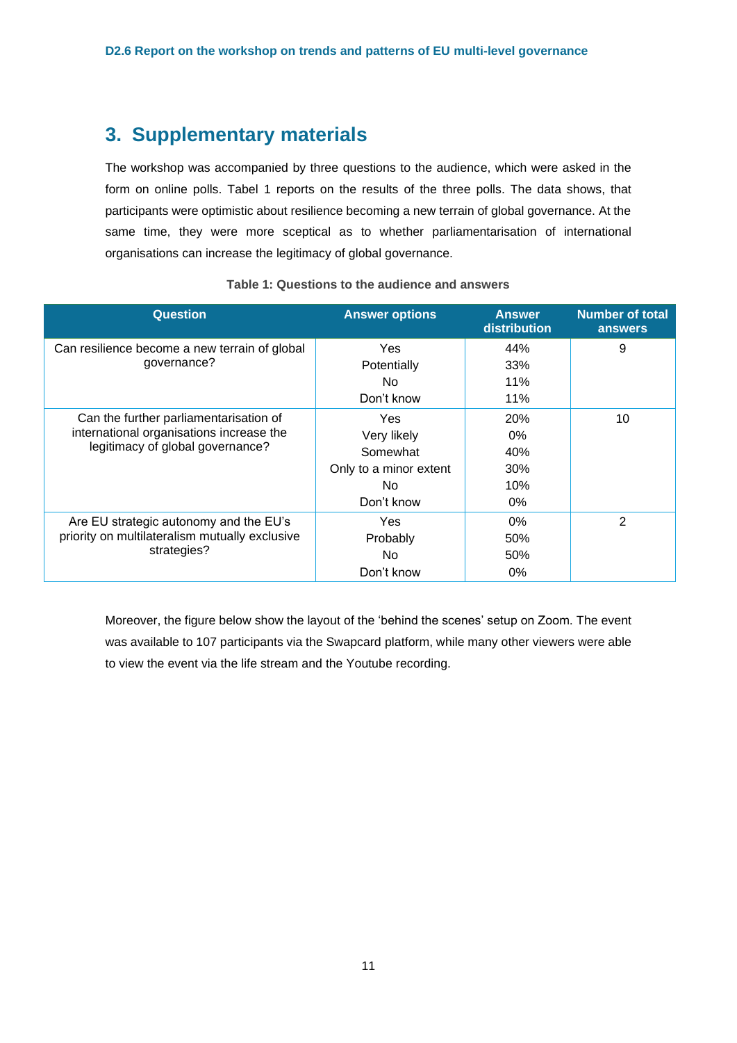## <span id="page-12-0"></span>**3. Supplementary materials**

The workshop was accompanied by three questions to the audience, which were asked in the form on online polls. Tabel 1 reports on the results of the three polls. The data shows, that participants were optimistic about resilience becoming a new terrain of global governance. At the same time, they were more sceptical as to whether parliamentarisation of international organisations can increase the legitimacy of global governance.

<span id="page-12-1"></span>

| <b>Question</b>                                | <b>Answer options</b>  | <b>Answer</b><br>distribution | <b>Number of total</b><br>answers |
|------------------------------------------------|------------------------|-------------------------------|-----------------------------------|
| Can resilience become a new terrain of global  | Yes                    | 44%                           | 9                                 |
| qovernance?                                    | Potentially            | 33%                           |                                   |
|                                                | No.                    | 11%                           |                                   |
|                                                | Don't know             | 11%                           |                                   |
| Can the further parliamentarisation of         | Yes                    | <b>20%</b>                    | 10                                |
| international organisations increase the       | Very likely            | $0\%$                         |                                   |
| legitimacy of global governance?               | Somewhat               | 40%                           |                                   |
|                                                | Only to a minor extent | 30%                           |                                   |
|                                                | No.                    | 10%                           |                                   |
|                                                | Don't know             | $0\%$                         |                                   |
| Are EU strategic autonomy and the EU's         | Yes                    | $0\%$                         | 2                                 |
| priority on multilateralism mutually exclusive | Probably               | 50%                           |                                   |
| strategies?                                    | No.                    | 50%                           |                                   |
|                                                | Don't know             | $0\%$                         |                                   |

#### **Table 1: Questions to the audience and answers**

Moreover, the figure below show the layout of the 'behind the scenes' setup on Zoom. The event was available to 107 participants via the Swapcard platform, while many other viewers were able to view the event via the life stream and the Youtube recording.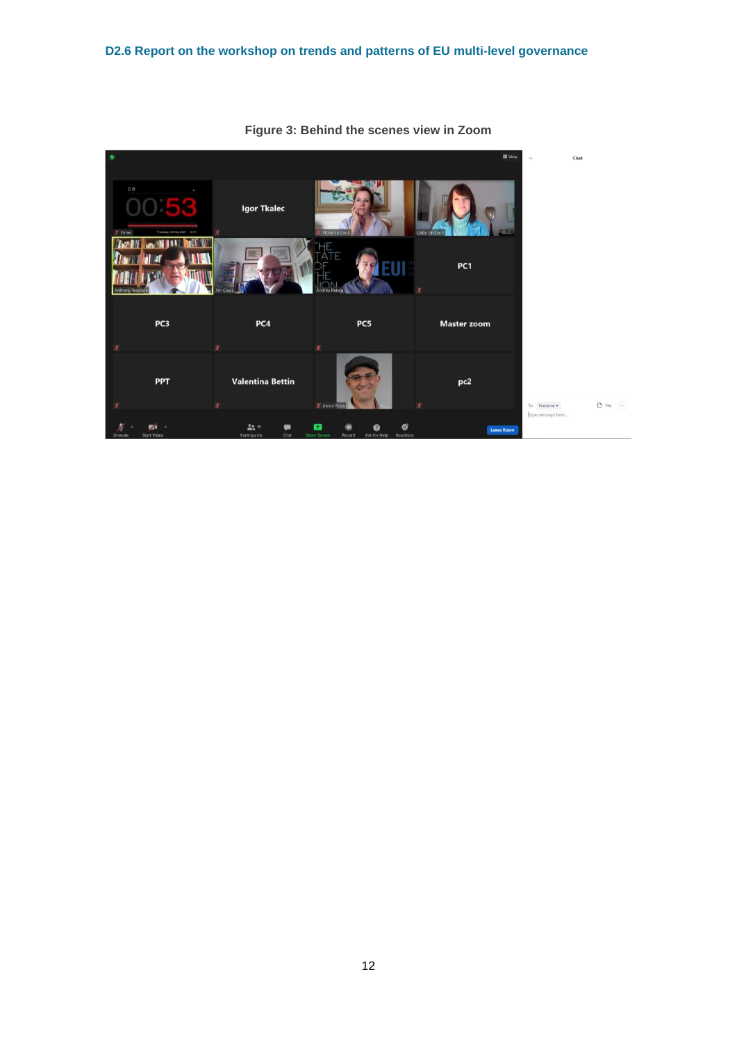<span id="page-13-0"></span>

**Figure 3: Behind the scenes view in Zoom**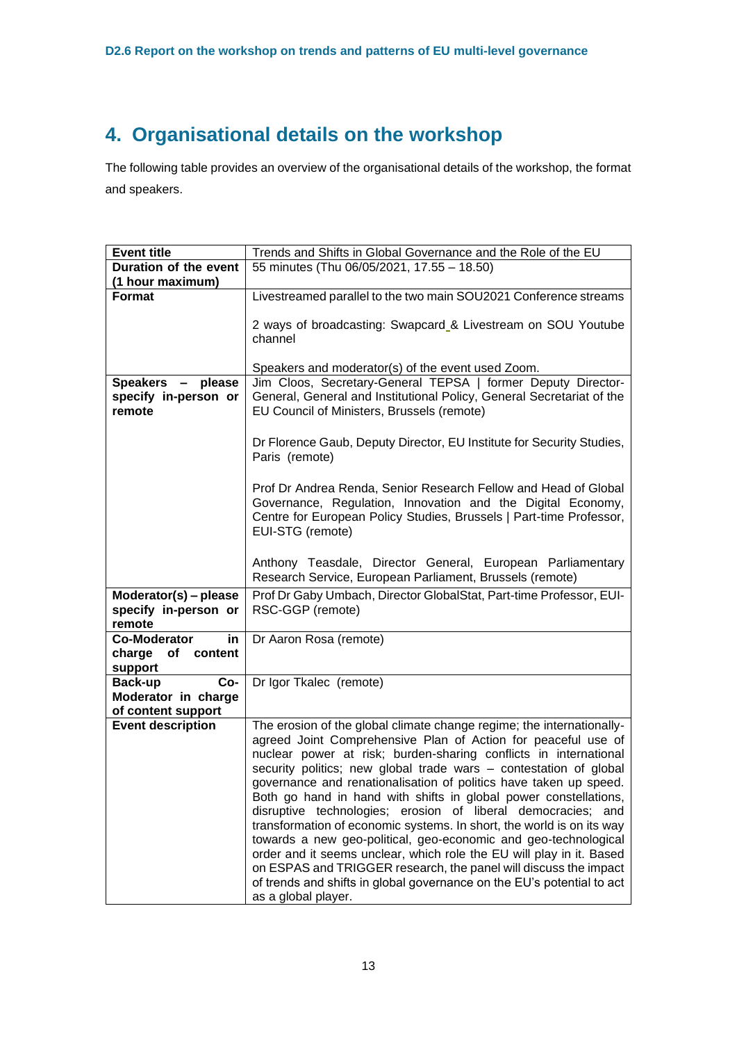## <span id="page-14-0"></span>**4. Organisational details on the workshop**

The following table provides an overview of the organisational details of the workshop, the format and speakers.

| <b>Event title</b>        | Trends and Shifts in Global Governance and the Role of the EU                                                                         |
|---------------------------|---------------------------------------------------------------------------------------------------------------------------------------|
| Duration of the event     | 55 minutes (Thu 06/05/2021, 17.55 - 18.50)                                                                                            |
| (1 hour maximum)          |                                                                                                                                       |
| Format                    | Livestreamed parallel to the two main SOU2021 Conference streams                                                                      |
|                           |                                                                                                                                       |
|                           | 2 ways of broadcasting: Swapcard_& Livestream on SOU Youtube                                                                          |
|                           | channel                                                                                                                               |
|                           |                                                                                                                                       |
|                           | Speakers and moderator(s) of the event used Zoom.                                                                                     |
| Speakers - please         | Jim Cloos, Secretary-General TEPSA   former Deputy Director-                                                                          |
| specify in-person or      | General, General and Institutional Policy, General Secretariat of the                                                                 |
| remote                    | EU Council of Ministers, Brussels (remote)                                                                                            |
|                           |                                                                                                                                       |
|                           | Dr Florence Gaub, Deputy Director, EU Institute for Security Studies,                                                                 |
|                           | Paris (remote)                                                                                                                        |
|                           |                                                                                                                                       |
|                           | Prof Dr Andrea Renda, Senior Research Fellow and Head of Global                                                                       |
|                           | Governance, Regulation, Innovation and the Digital Economy,                                                                           |
|                           | Centre for European Policy Studies, Brussels   Part-time Professor,                                                                   |
|                           | EUI-STG (remote)                                                                                                                      |
|                           |                                                                                                                                       |
|                           | Anthony Teasdale, Director General, European Parliamentary                                                                            |
|                           | Research Service, European Parliament, Brussels (remote)                                                                              |
| Moderator(s) - please     | Prof Dr Gaby Umbach, Director GlobalStat, Part-time Professor, EUI-                                                                   |
| specify in-person or      | RSC-GGP (remote)                                                                                                                      |
| remote                    |                                                                                                                                       |
| <b>Co-Moderator</b><br>in | Dr Aaron Rosa (remote)                                                                                                                |
| charge<br>of content      |                                                                                                                                       |
| support                   |                                                                                                                                       |
| Co-<br>Back-up            | Dr Igor Tkalec (remote)                                                                                                               |
| Moderator in charge       |                                                                                                                                       |
| of content support        |                                                                                                                                       |
| <b>Event description</b>  | The erosion of the global climate change regime; the internationally-                                                                 |
|                           | agreed Joint Comprehensive Plan of Action for peaceful use of                                                                         |
|                           | nuclear power at risk; burden-sharing conflicts in international                                                                      |
|                           | security politics; new global trade wars - contestation of global                                                                     |
|                           | governance and renationalisation of politics have taken up speed.<br>Both go hand in hand with shifts in global power constellations, |
|                           | disruptive technologies; erosion of liberal democracies; and                                                                          |
|                           | transformation of economic systems. In short, the world is on its way                                                                 |
|                           | towards a new geo-political, geo-economic and geo-technological                                                                       |
|                           | order and it seems unclear, which role the EU will play in it. Based                                                                  |
|                           | on ESPAS and TRIGGER research, the panel will discuss the impact                                                                      |
|                           | of trends and shifts in global governance on the EU's potential to act                                                                |
|                           | as a global player.                                                                                                                   |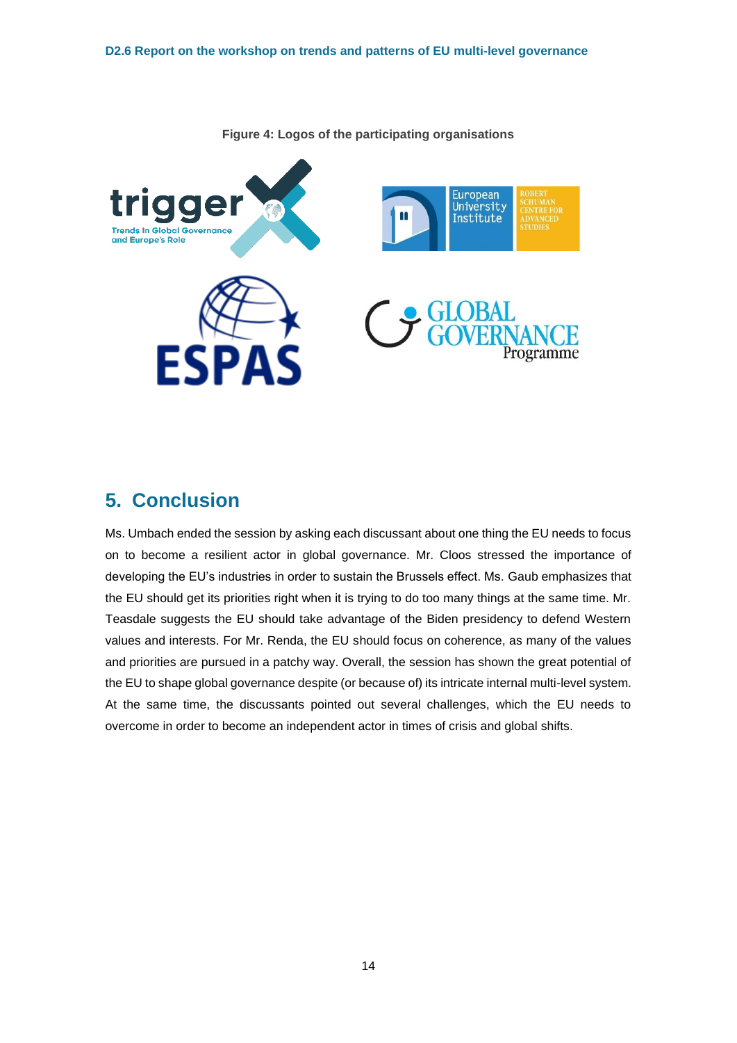

**Figure 4: Logos of the participating organisations**

### <span id="page-15-0"></span>**5. Conclusion**

Ms. Umbach ended the session by asking each discussant about one thing the EU needs to focus on to become a resilient actor in global governance. Mr. Cloos stressed the importance of developing the EU's industries in order to sustain the Brussels effect. Ms. Gaub emphasizes that the EU should get its priorities right when it is trying to do too many things at the same time. Mr. Teasdale suggests the EU should take advantage of the Biden presidency to defend Western values and interests. For Mr. Renda, the EU should focus on coherence, as many of the values and priorities are pursued in a patchy way. Overall, the session has shown the great potential of the EU to shape global governance despite (or because of) its intricate internal multi-level system. At the same time, the discussants pointed out several challenges, which the EU needs to overcome in order to become an independent actor in times of crisis and global shifts.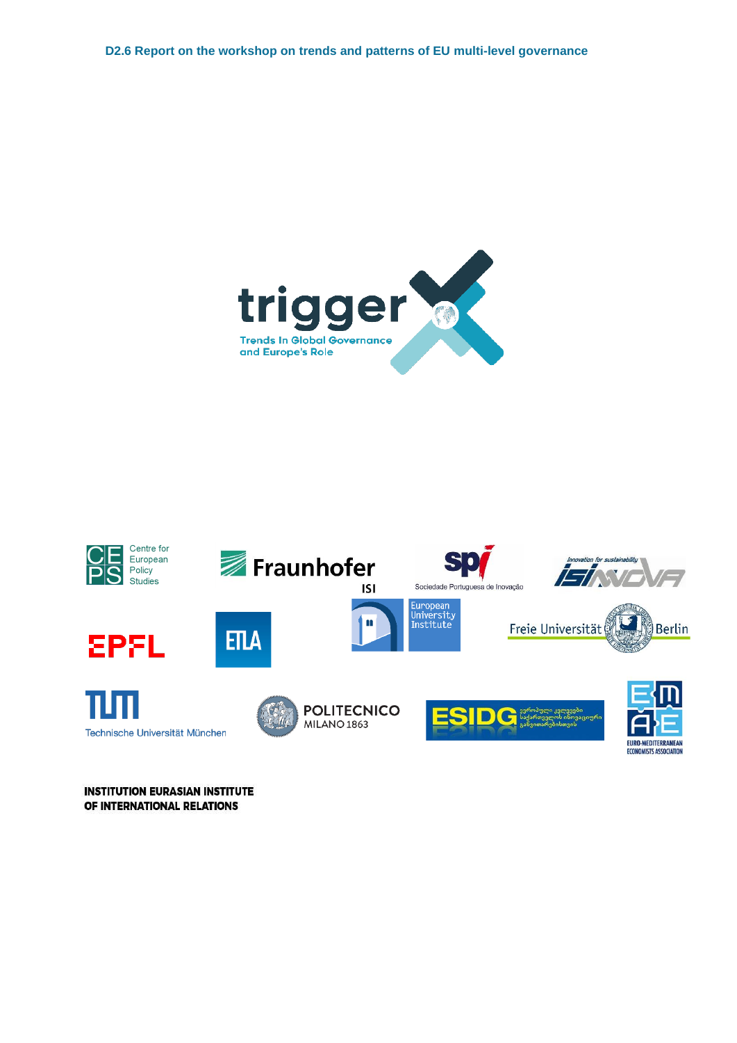



**INSTITUTION EURASIAN INSTITUTE** OF INTERNATIONAL RELATIONS